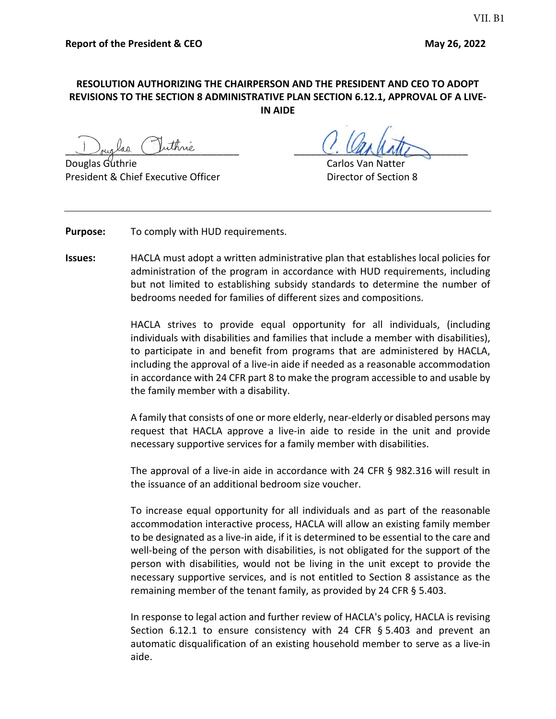## **RESOLUTION AUTHORIZING THE CHAIRPERSON AND THE PRESIDENT AND CEO TO ADOPT REVISIONS TO THE SECTION 8 ADMINISTRATIVE PLAN SECTION 6.12.1, APPROVAL OF A LIVE-IN AIDE**

ouglas (Juthrie

President & Chief Executive Officer The Chief Chief Director of Section 8

Carlos Van Natter

**Purpose:** To comply with HUD requirements.

**Issues:** HACLA must adopt a written administrative plan that establishes local policies for administration of the program in accordance with HUD requirements, including but not limited to establishing subsidy standards to determine the number of bedrooms needed for families of different sizes and compositions.

> HACLA strives to provide equal opportunity for all individuals, (including individuals with disabilities and families that include a member with disabilities), to participate in and benefit from programs that are administered by HACLA, including the approval of a live-in aide if needed as a reasonable accommodation in accordance with 24 CFR part 8 to make the program accessible to and usable by the family member with a disability.

> A family that consists of one or more elderly, near-elderly or disabled persons may request that HACLA approve a live-in aide to reside in the unit and provide necessary supportive services for a family member with disabilities.

> The approval of a live-in aide in accordance with 24 CFR § 982.316 will result in the issuance of an additional bedroom size voucher.

> To increase equal opportunity for all individuals and as part of the reasonable accommodation interactive process, HACLA will allow an existing family member to be designated as a live-in aide, if it is determined to be essential to the care and well-being of the person with disabilities, is not obligated for the support of the person with disabilities, would not be living in the unit except to provide the necessary supportive services, and is not entitled to Section 8 assistance as the remaining member of the tenant family, as provided by 24 CFR § 5.403.

> In response to legal action and further review of HACLA's policy, HACLA is revising Section 6.12.1 to ensure consistency with 24 CFR § 5.403 and prevent an automatic disqualification of an existing household member to serve as a live-in aide.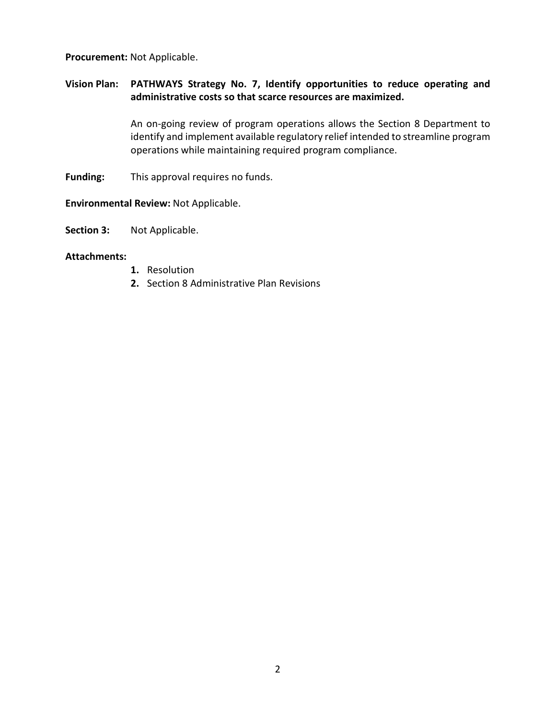#### **Procurement:** Not Applicable.

# **Vision Plan: PATHWAYS Strategy No. 7, Identify opportunities to reduce operating and administrative costs so that scarce resources are maximized.**

An on-going review of program operations allows the Section 8 Department to identify and implement available regulatory relief intended to streamline program operations while maintaining required program compliance.

**Funding:** This approval requires no funds.

**Environmental Review:** Not Applicable.

**Section 3:** Not Applicable.

#### **Attachments:**

- **1.** Resolution
- **2.** Section 8 Administrative Plan Revisions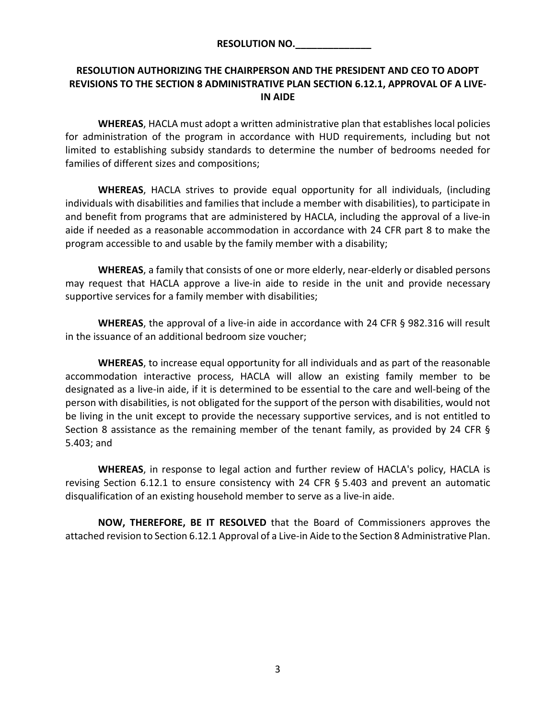# **RESOLUTION AUTHORIZING THE CHAIRPERSON AND THE PRESIDENT AND CEO TO ADOPT REVISIONS TO THE SECTION 8 ADMINISTRATIVE PLAN SECTION 6.12.1, APPROVAL OF A LIVE-IN AIDE**

**WHEREAS**, HACLA must adopt a written administrative plan that establishes local policies for administration of the program in accordance with HUD requirements, including but not limited to establishing subsidy standards to determine the number of bedrooms needed for families of different sizes and compositions;

**WHEREAS**, HACLA strives to provide equal opportunity for all individuals, (including individuals with disabilities and families that include a member with disabilities), to participate in and benefit from programs that are administered by HACLA, including the approval of a live-in aide if needed as a reasonable accommodation in accordance with 24 CFR part 8 to make the program accessible to and usable by the family member with a disability;

**WHEREAS**, a family that consists of one or more elderly, near-elderly or disabled persons may request that HACLA approve a live-in aide to reside in the unit and provide necessary supportive services for a family member with disabilities;

**WHEREAS**, the approval of a live-in aide in accordance with 24 CFR § 982.316 will result in the issuance of an additional bedroom size voucher;

**WHEREAS**, to increase equal opportunity for all individuals and as part of the reasonable accommodation interactive process, HACLA will allow an existing family member to be designated as a live-in aide, if it is determined to be essential to the care and well-being of the person with disabilities, is not obligated for the support of the person with disabilities, would not be living in the unit except to provide the necessary supportive services, and is not entitled to Section 8 assistance as the remaining member of the tenant family, as provided by 24 CFR § 5.403; and

**WHEREAS**, in response to legal action and further review of HACLA's policy, HACLA is revising Section 6.12.1 to ensure consistency with 24 CFR § 5.403 and prevent an automatic disqualification of an existing household member to serve as a live-in aide.

**NOW, THEREFORE, BE IT RESOLVED** that the Board of Commissioners approves the attached revision to Section 6.12.1 Approval of a Live-in Aide to the Section 8 Administrative Plan.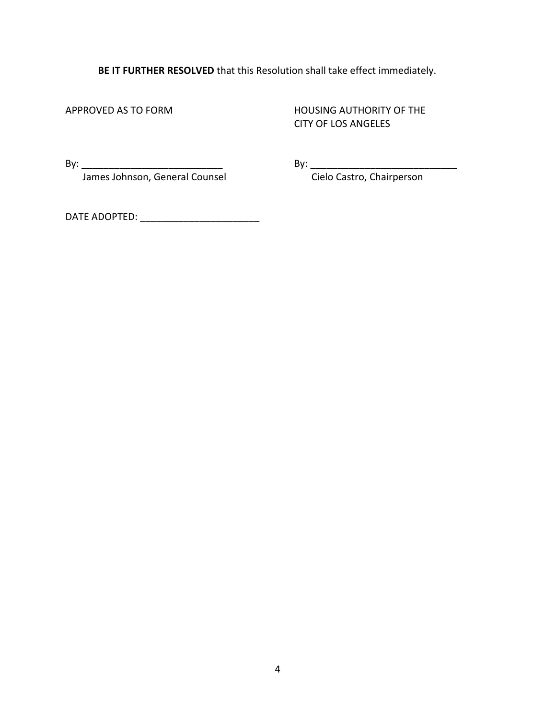**BE IT FURTHER RESOLVED** that this Resolution shall take effect immediately.

APPROVED AS TO FORM **HOUSING AUTHORITY OF THE** CITY OF LOS ANGELES

James Johnson, General Counsel Cielo Castro, Chairperson

By: \_\_\_\_\_\_\_\_\_\_\_\_\_\_\_\_\_\_\_\_\_\_\_\_\_\_ By: \_\_\_\_\_\_\_\_\_\_\_\_\_\_\_\_\_\_\_\_\_\_\_\_\_\_\_

DATE ADOPTED: \_\_\_\_\_\_\_\_\_\_\_\_\_\_\_\_\_\_\_\_\_\_